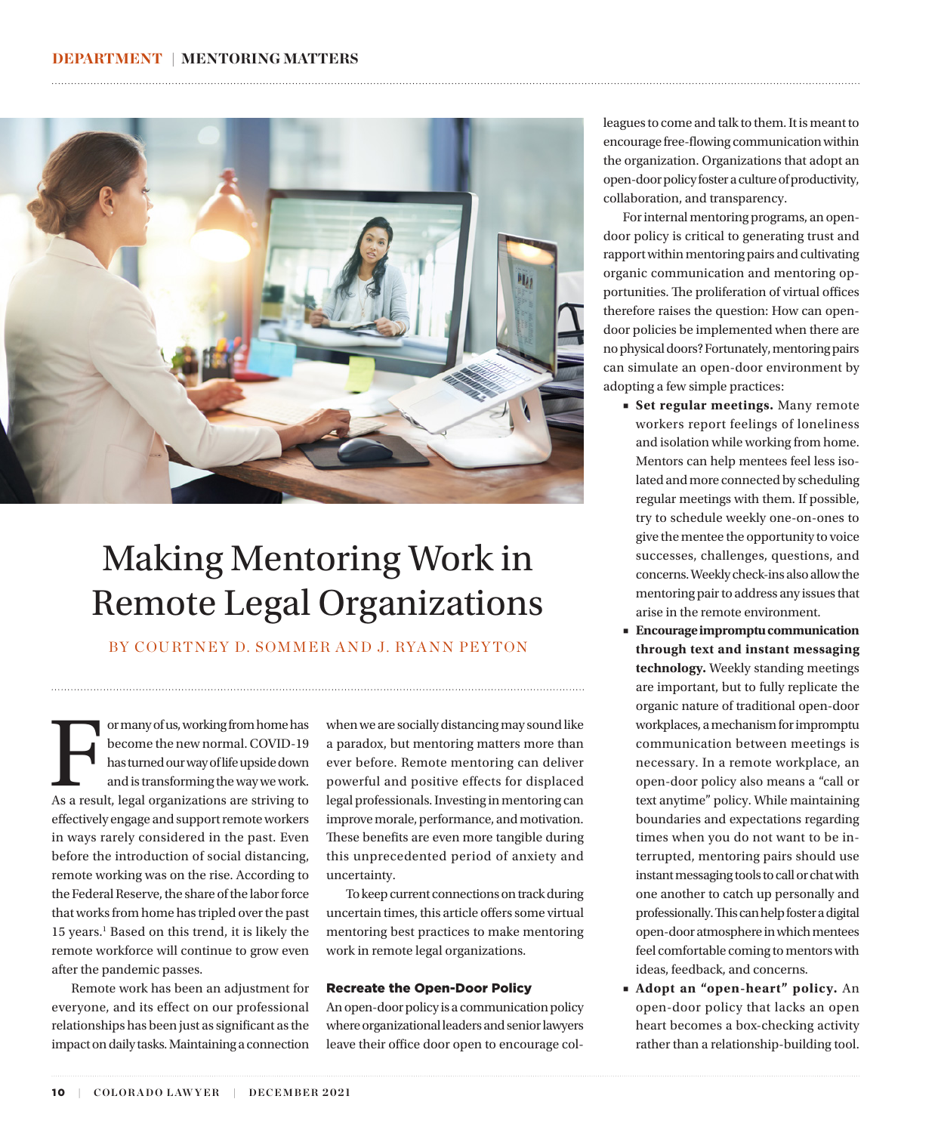<span id="page-0-0"></span>

## Making Mentoring Work in Remote Legal Organizations

BY COURTNEY D. SOMMER AND J. RYANN PEYTON

For many of us, working from home has<br>
become the new normal. COVID-19<br>
has turned our way of life upside down<br>
and is transforming the way we work.<br>
As a result, legal organizations are striving to become the new normal. COVID-19 has turned our way of life upside down and is transforming the way we work. effectively engage and support remote workers in ways rarely considered in the past. Even before the introduction of social distancing, remote working was on the rise. According to the Federal Reserve, the share of the labor force that works from home has tripled over the past [1](#page-2-0)5 years.<sup>1</sup> Based on this trend, it is likely the remote workforce will continue to grow even after the pandemic passes.

Remote work has been an adjustment for everyone, and its effect on our professional relationships has been just as significant as the impact on daily tasks. Maintaining a connection

when we are socially distancing may sound like a paradox, but mentoring matters more than ever before. Remote mentoring can deliver powerful and positive effects for displaced legal professionals. Investing in mentoring can improve morale, performance, and motivation. These benefits are even more tangible during this unprecedented period of anxiety and uncertainty.

To keep current connections on track during uncertain times, this article offers some virtual mentoring best practices to make mentoring work in remote legal organizations.

#### Recreate the Open-Door Policy

An open-door policy is a communication policy where organizational leaders and senior lawyers leave their office door open to encourage colleagues to come and talk to them. It is meant to encourage free-flowing communication within the organization. Organizations that adopt an open-door policy foster a culture of productivity, collaboration, and transparency.

For internal mentoring programs, an opendoor policy is critical to generating trust and rapport within mentoring pairs and cultivating organic communication and mentoring opportunities. The proliferation of virtual offices therefore raises the question: How can opendoor policies be implemented when there are no physical doors? Fortunately, mentoring pairs can simulate an open-door environment by adopting a few simple practices:

- **Set regular meetings.** Many remote workers report feelings of loneliness and isolation while working from home. Mentors can help mentees feel less isolated and more connected by scheduling regular meetings with them. If possible, try to schedule weekly one-on-ones to give the mentee the opportunity to voice successes, challenges, questions, and concerns. Weekly check-ins also allow the mentoring pair to address any issues that arise in the remote environment.
- **Encourage impromptu communication through text and instant messaging technology.** Weekly standing meetings are important, but to fully replicate the organic nature of traditional open-door workplaces, a mechanism for impromptu communication between meetings is necessary. In a remote workplace, an open-door policy also means a "call or text anytime" policy. While maintaining boundaries and expectations regarding times when you do not want to be interrupted, mentoring pairs should use instant messaging tools to call or chat with one another to catch up personally and professionally. This can help foster a digital open-door atmosphere in which mentees feel comfortable coming to mentors with ideas, feedback, and concerns.
- **Adopt an "open-heart" policy.** An open-door policy that lacks an open heart becomes a box-checking activity rather than a relationship-building tool.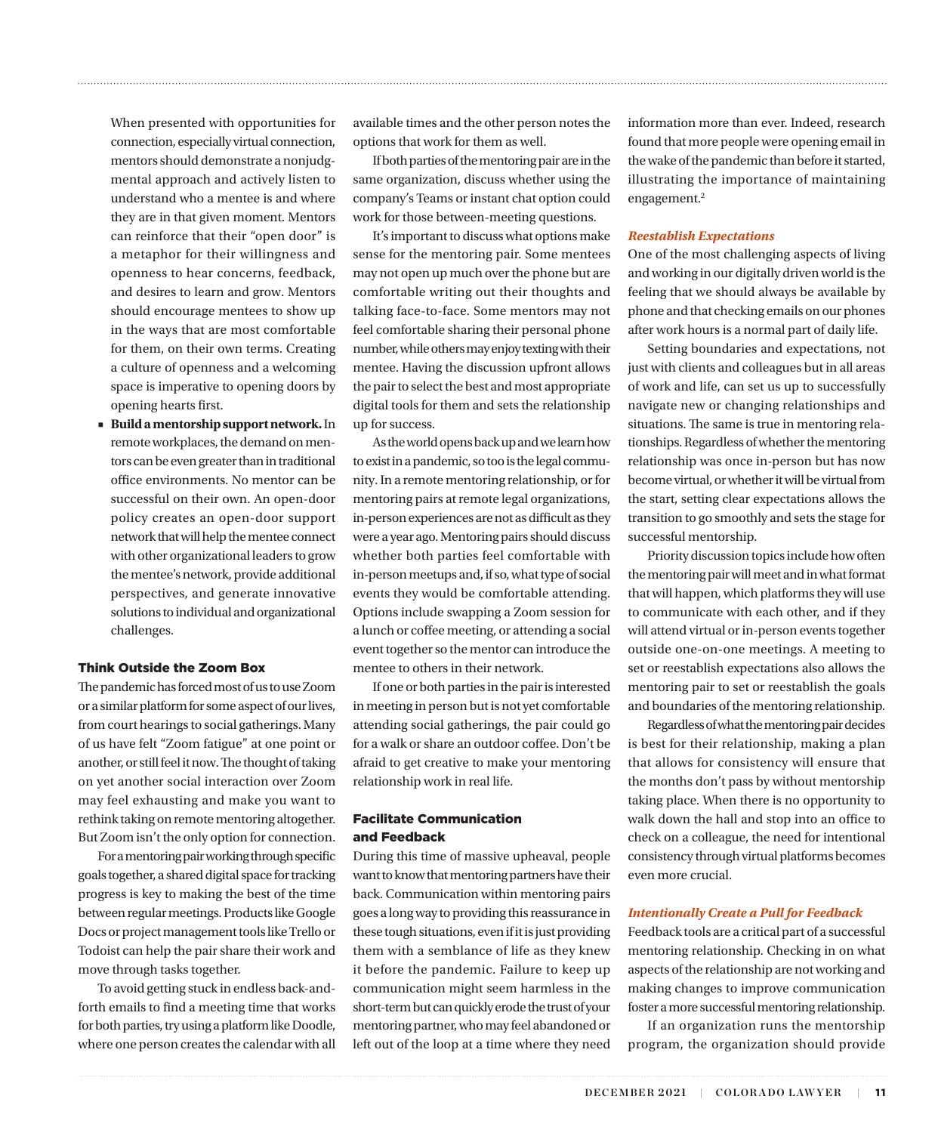When presented with opportunities for connection, especially virtual connection, mentors should demonstrate a nonjudgmental approach and actively listen to understand who a mentee is and where they are in that given moment. Mentors can reinforce that their "open door" is a metaphor for their willingness and openness to hear concerns, feedback, and desires to learn and grow. Mentors should encourage mentees to show up in the ways that are most comfortable for them, on their own terms. Creating a culture of openness and a welcoming space is imperative to opening doors by opening hearts first.

**Build a mentorship support network.** In remote workplaces, the demand on mentors can be even greater than in traditional office environments. No mentor can be successful on their own. An open-door policy creates an open-door support network that will help the mentee connect with other organizational leaders to grow the mentee's network, provide additional perspectives, and generate innovative solutions to individual and organizational challenges.

#### Think Outside the Zoom Box

The pandemic has forced most of us to use Zoom or a similar platform for some aspect of our lives, from court hearings to social gatherings. Many of us have felt "Zoom fatigue" at one point or another, or still feel it now. The thought of taking on yet another social interaction over Zoom may feel exhausting and make you want to rethink taking on remote mentoring altogether. But Zoom isn't the only option for connection.

For a mentoring pair working through specific goals together, a shared digital space for tracking progress is key to making the best of the time between regular meetings. Products like Google Docs or project management tools like Trello or Todoist can help the pair share their work and move through tasks together.

To avoid getting stuck in endless back-andforth emails to find a meeting time that works for both parties, try using a platform like Doodle, where one person creates the calendar with all available times and the other person notes the options that work for them as well.

<span id="page-1-0"></span>

If both parties of the mentoring pair are in the same organization, discuss whether using the company's Teams or instant chat option could work for those between-meeting questions.

It's important to discuss what options make sense for the mentoring pair. Some mentees may not open up much over the phone but are comfortable writing out their thoughts and talking face-to-face. Some mentors may not feel comfortable sharing their personal phone number, while others may enjoy texting with their mentee. Having the discussion upfront allows the pair to select the best and most appropriate digital tools for them and sets the relationship up for success.

As the world opens back up and we learn how to exist in a pandemic, so too is the legal community. In a remote mentoring relationship, or for mentoring pairs at remote legal organizations, in-person experiences are not as difficult as they were a year ago. Mentoring pairs should discuss whether both parties feel comfortable with in-person meetups and, if so, what type of social events they would be comfortable attending. Options include swapping a Zoom session for a lunch or coffee meeting, or attending a social event together so the mentor can introduce the mentee to others in their network.

If one or both parties in the pair is interested in meeting in person but is not yet comfortable attending social gatherings, the pair could go for a walk or share an outdoor coffee. Don't be afraid to get creative to make your mentoring relationship work in real life.

#### Facilitate Communication and Feedback

During this time of massive upheaval, people want to know that mentoring partners have their back. Communication within mentoring pairs goes a long way to providing this reassurance in these tough situations, even if it is just providing them with a semblance of life as they knew it before the pandemic. Failure to keep up communication might seem harmless in the short-term but can quickly erode the trust of your mentoring partner, who may feel abandoned or left out of the loop at a time where they need information more than ever. Indeed, research found that more people were opening email in the wake of the pandemic than before it started, illustrating the importance of maintaining engagement.<sup>[2](#page-2-0)</sup>

#### *Reestablish Expectations*

One of the most challenging aspects of living and working in our digitally driven world is the feeling that we should always be available by phone and that checking emails on our phones after work hours is a normal part of daily life.

Setting boundaries and expectations, not just with clients and colleagues but in all areas of work and life, can set us up to successfully navigate new or changing relationships and situations. The same is true in mentoring relationships. Regardless of whether the mentoring relationship was once in-person but has now become virtual, or whether it will be virtual from the start, setting clear expectations allows the transition to go smoothly and sets the stage for successful mentorship.

Priority discussion topics include how often the mentoring pair will meet and in what format that will happen, which platforms they will use to communicate with each other, and if they will attend virtual or in-person events together outside one-on-one meetings. A meeting to set or reestablish expectations also allows the mentoring pair to set or reestablish the goals and boundaries of the mentoring relationship.

Regardless of what the mentoring pair decides is best for their relationship, making a plan that allows for consistency will ensure that the months don't pass by without mentorship taking place. When there is no opportunity to walk down the hall and stop into an office to check on a colleague, the need for intentional consistency through virtual platforms becomes even more crucial.

#### *Intentionally Create a Pull for Feedback*

Feedback tools are a critical part of a successful mentoring relationship. Checking in on what aspects of the relationship are not working and making changes to improve communication foster a more successful mentoring relationship.

If an organization runs the mentorship program, the organization should provide